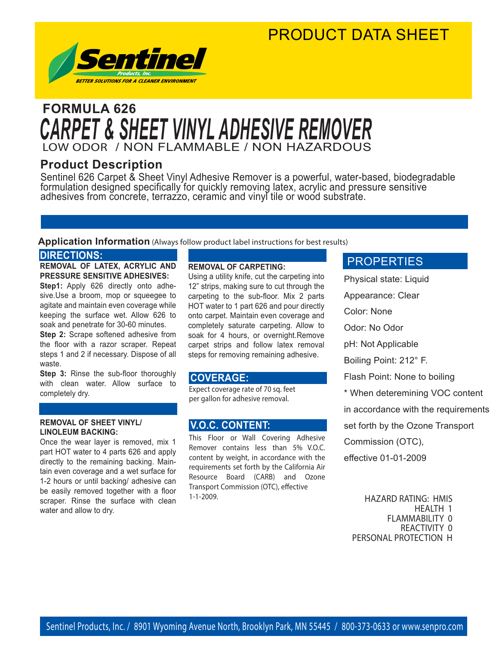### PRODUCT DATA SHEET



### LOW ODOR / NON FLAMMABLE / NON HAZARDOUS **FORMULA 626** *CARPET & SHEET VINYL ADHESIVE REMOVER*

#### **Product Description**

Sentinel 626 Carpet & Sheet Vinyl Adhesive Remover is a powerful, water-based, biodegradable formulation designed specifically for quickly removing latex, acrylic and pressure sensitive adhesives from concrete, terrazzo, ceramic and vinyl tile or wood substrate.

#### **Application Information** (Always follow product label instructions for best results)

#### **DIRECTIONS:**

**REMOVAL OF LATEX, ACRYLIC AND PRESSURE SENSITIVE ADHESIVES:**

**Step1:** Apply 626 directly onto adhesive.Use a broom, mop or squeegee to agitate and maintain even coverage while keeping the surface wet. Allow 626 to soak and penetrate for 30-60 minutes.

**Step 2:** Scrape softened adhesive from the floor with a razor scraper. Repeat steps 1 and 2 if necessary. Dispose of all waste.

**Step 3:** Rinse the sub-floor thoroughly with clean water. Allow surface to completely dry.

#### **REMOVAL OF SHEET VINYL/ LINOLEUM BACKING:**

i<br>I

Once the wear layer is removed, mix 1 part HOT water to 4 parts 626 and apply directly to the remaining backing. Maintain even coverage and a wet surface for 1-2 hours or until backing/ adhesive can be easily removed together with a floor scraper. Rinse the surface with clean water and allow to dry.

#### **REMOVAL OF CARPETING:**

Using a utility knife, cut the carpeting into 12" strips, making sure to cut through the carpeting to the sub-floor. Mix 2 parts HOT water to 1 part 626 and pour directly onto carpet. Maintain even coverage and completely saturate carpeting. Allow to soak for 4 hours, or overnight.Remove carpet strips and follow latex removal steps for removing remaining adhesive.

#### **COVERAGE:**

Expect coverage rate of 70 sq. feet per gallon for adhesive removal.

#### **V.O.C. CONTENT:**

This Floor or Wall Covering Adhesive Remover contains less than 5% V.O.C. content by weight, in accordance with the requirements set forth by the California Air Resource Board (CARB) and Ozone Transport Commission (OTC), effective 1-1-2009.

#### PROPERTIES

Physical state: Liquid Appearance: Clear Color: None Odor: No Odor pH: Not Applicable Boiling Point: 212° F. Flash Point: None to boiling \* When deteremining VOC content in accordance with the requirements set forth by the Ozone Transport Commission (OTC), effective 01-01-2009

HAZARD RATING: HMIS HEALTH 1 FLAMMABILITY 0 REACTIVITY 0 PERSONAL PROTECTION H